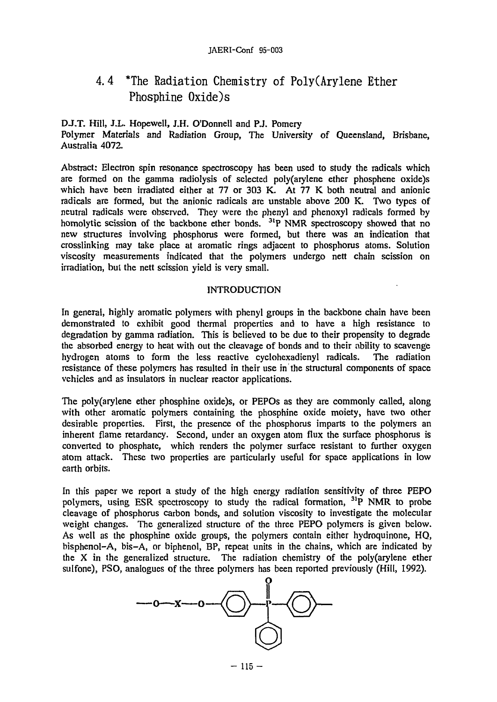#### JAERI-Conf 95-003

# 4.4 \*The Radiation Chemistry of Poly(Arylene Ether Phosphine 0xide)s

## DJ.T. Hill, J.L. Hopewell, J.H. O'Donnell and P.J. Pomery

Polymer Materials and Radiation Group, The University of Queensland, Brisbane, Australia 4072.

Abstract: Electron spin resonance spectroscopy has been used to study the radicals which are formed on the gamma radiolysis of selected poly(arylene ether phosphene oxide)s which have been irradiated either at 77 or 303 K. At 77 K both neutral and anionic radicals are formed, but the anionic radicals are unstable above 200 K. Two types of neutral radicals were observed. They were the phenyl and phenoxyl radicals formed by homolytic scission of the backbone ether bonds. <sup>31</sup>P NMR spectroscopy showed that no new structures involving phosphorus were formed, but there was an indication that crosslinking may take place at aromatic rings adjacent to phosphorus atoms. Solution viscosity measurements indicated that the polymers undergo nett chain scission on irradiation, but the nett scission yield is very small.

#### INTRODUCTION

In general, highly aromatic polymers with phenyl groups in the backbone chain have been demonstrated to exhibit good thermal properties and to have a high resistance to degradation by gamma radiation. This is believed to be due to their propensity to degrade the absorbed energy to heat with out the cleavage of bonds and to their ability to scavenge hydrogen atoms to form the less reactive cyclohexadienyl radicals. The radiation resistance of these polymers has resulted in their use in the structural components of space vehicles and as insulators in nuclear reactor applications.

The poly(arylene ether phosphine oxide)s, or PEPOs as they are commonly called, along with other aromatic polymers containing the phosphine oxide moiety, have two other desirable properties. First, the presence of the phosphorus imparts to the polymers an inherent flame retardancy. Second, under an oxygen atom flux the surface phosphorus is converted to phosphate, which renders the polymer surface resistant to further oxygen atom attack. These two properties are particularly useful for space applications in low earth orbits.

In this paper we report a study of the high energy radiation sensitivity of three PEPO polymers, using ESR spectroscopy to study the radical formation, <sup>31</sup>P NMR to probe cleavage of phosphorus carbon bonds, and solution viscosity to investigate the molecular weight changes. The generalized structure of the three PEPO polymers is given below. As well as the phosphine oxide groups, the polymers contain either hydroquinone, HQ, bisphenol-A, bis-A, or biphenol, BP, repeat units in the chains, which are indicated by the X in the generalized structure. The radiation chemistry of the poly(arylene ether sulfone), PSO, analogues of the three polymers has been reported previously (Hill, 1992).

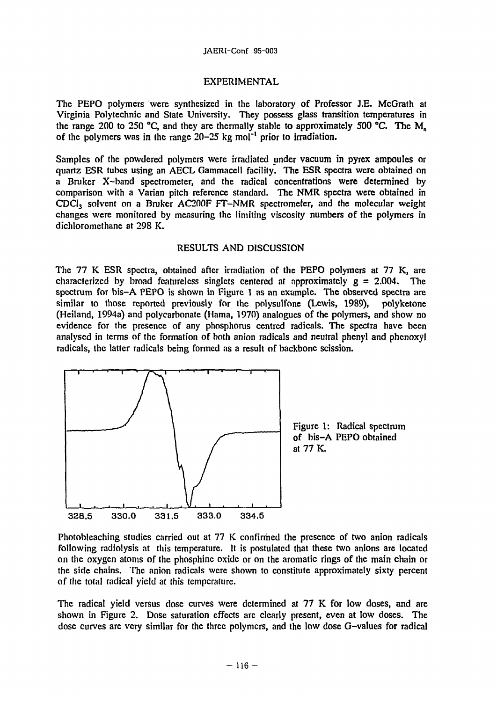#### JAERI-Conf 95-003

### EXPERIMENTAL

The PEPO polymers were synthesized in the laboratory of Professor J.E. McGrath at Virginia Polytechnic and State University. They possess glass transition temperatures in the range 200 to 250 °C, and they are thermally stable to approximately 500 °C. The  $M<sub>n</sub>$ of the polymers was in the range  $20-25$  kg mol<sup>-1</sup> prior to irradiation.

Samples of the powdered polymers were irradiated under vacuum in pyrex ampoules or quartz ESR tubes using an AECL Gammacell facility. The ESR spectra were obtained on a Bruker X-band spectrometer, and the radical concentrations were determined by comparison with a Varian pitch reference standard. The NMR spectra were obtained in  $CDCI<sub>3</sub>$  solvent on a Bruker AC200F FT-NMR spectrometer, and the molecular weight changes were monitored by measuring the limiting viscosity numbers of the polymers in dichloromethane at 298 K.

#### RESULTS AND DISCUSSION

The 77 K ESR spectra, obtained after irradiation of the PEPO polymers at 77 K, are characterized by broad featureless singlets centered at approximately  $g = 2.004$ . The spectrum for bis-A PEPO is shown in Figure 1 as an example. The observed spectra are similar to those reported previously for the polysulfone (Lewis, 1989), polyketone (Heiland, 1994a) and polycarbonate (Hama, 1970) analogues of the polymers, and show no evidence for the presence of any phosphorus centred radicals. The spectra have been analysed in terms of the formation of both anion radicals and neutral phenyl and phenoxyl radicals, the latter radicals being formed as a result of backbone scission.



Photobleaching studies carried out at 77 K confirmed the presence of two anion radicals following radiolysis at this temperature. It is postulated that these two anions are located on the oxygen atoms of the phosphine oxide or on the aromatic rings of the main chain or the side chains. The anion radicals were shown to constitute approximately sixty percent of the total radical yield at this temperature.

The radical yield versus dose curves were determined at 77 K for low doses, and are shown in Figure 2. Dose saturation effects are clearly present, even at low doses. The dose curves are very similar for the three polymers, and the low dose G-values for radical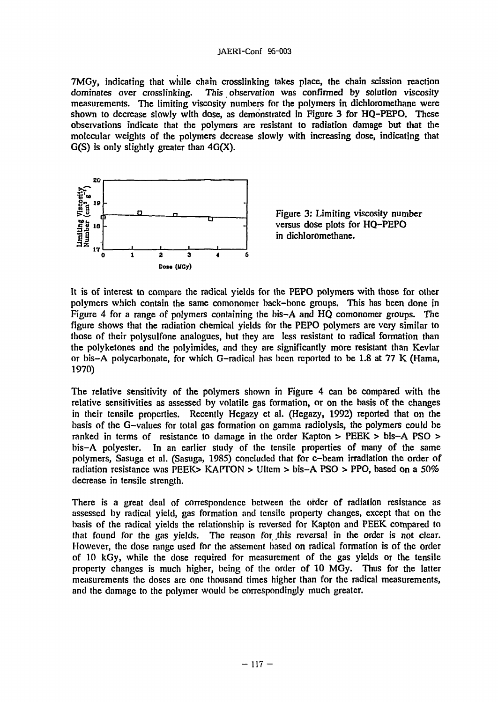7MGy, indicating that while chain crosslinking takes place, the chain scission reaction dominates over crosslinking. This observation was confirmed by solution viscosity measurements. The limiting viscosity numbers for the polymers in dichloromethane were shown to decrease slowly with dose, as demonstrated in Figure 3 for HQ-PEPO. These observations indicate that the polymers are resistant to radiation damage but that the molecular weights of the polymers decrease slowly with increasing dose, indicating that  $G(S)$  is only slightly greater than  $4G(X)$ .



Figure 3: Limiting viscosity number versus dose plots for HQ-PEPO in dichloromethane.

It is of interest to compare the radical yields for the PEPO polymers with those for other polymers which contain the same comonomer back-bone groups. This has been done in Figure 4 for a range of polymers containing the bis-A and HQ comonomer groups. The figure shows that the radiation chemical yields for the PEPO polymers are very similar to those of their polysulfone analogues, but they are less resistant to radical formation than the polyketones and the polyimides, and they are significantly more resistant than Kevlar or bis-A polycarbonate, for which G-radical has been reported to be 1.8 at 77 K (Hama, 1970)

The relative sensitivity of the polymers shown in Figure 4 can be compared with the relative sensitivities as assessed by volatile gas formation, or on the basis of the changes in their tensile properties. Recently Hegazy ct al. (Hegazy, 1992) reported that on the basis of the G-values for total gas formation on gamma radiolysis, the polymers could be ranked in terms of resistance to damage in the order Kapton > PEEK > bis-A PSO > bis-A polyester. In an earlier study of the tensile properties of many of the same polymers, Sasuga et al. (Sasuga, 1985) concluded that for e-beam irradiation the order of radiation resistance was PEEK> KAPTON > Uitcm > bis-A PSO > PPO, based on a 50% decrease in tensile strength.

There is a great deal of correspondence between the order of radiation resistance as assessed by radical yield, gas formation and tensile property changes, except that on the basis of the radical yields the relationship is reversed for Kapton and PEEK compared to that found for the gas yields. The reason for this reversal in the order is not clear. However, the dose range used for the assement based on radical formation is of the order of 10 kGy, while the dose required for measurement of the gas yields or the tensile property changes is much higher, being of the order of 10 MGy. Thus for the latter measurements the doses are one thousand times higher than for the radical measurements, and the damage to the polymer would be correspondingly much greater.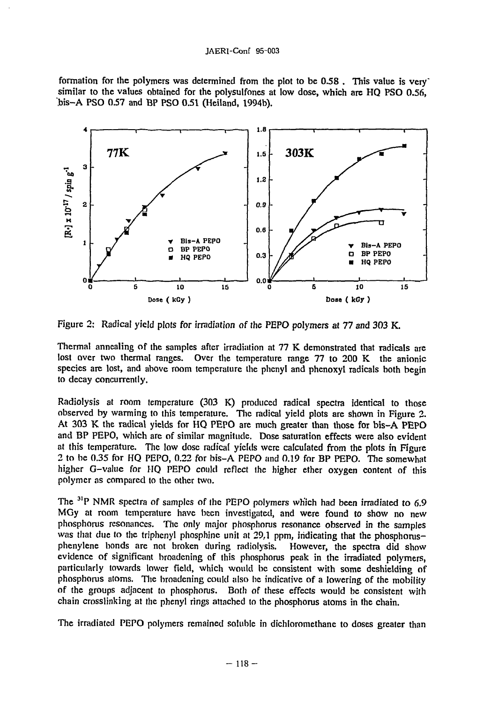formation for the polymers was determined from the plot to be 0.58. This value is very similar to the values obtained for the polysulfones at low dose, which arc HQ PSO 0.56, 'bis-A PSO 0.57 and BP PSO 0.51 (Heiland, 1994b).



Figure 2: Radical yield plots for irradiation of the PEPO polymers at 77 and 303 K.

Thermal annealing of the samples after irradiation at 77 K demonstrated that radicals are lost over two thermal ranges. Over the temperature range 77 to 200 K the anionic species are lost, and above room temperature the phenyl and phenoxyl radicals both begin to decay concurrently.

Radiolysis at room temperature (303 K) produced radical spectra identical to those observed by warming to this temperature. The radical yield plots are shown in Figure 2. At 303 K the radical yields for HQ PEPO are much greater than those for bis-A PEPO and BP PEPO, which are of similar magnitude. Dose saturation effects were also evident at this temperature. The low dose radical yields were calculated from the plots in Figure 2 to be 0.35 for HQ PEPO, 0.22 for bis-A PEPO and 0.19 for BP PEPO. The somewhat higher G-value for HQ PEPO could reflect the higher ether oxygen content of this polymer as compared to the other two.

The <sup>31</sup>P NMR spectra of samples of the PEPO polymers which had been irradiated to 6.9 MGy at room temperature have been investigated, and were found to show no new phosphorus resonances. The only major phosphorus resonance observed in the samples was that due to the triphenyl phosphine unit at 29.1 ppm, indicating that the phosphorusphenylene bonds are not broken during radiolysis. However, the spectra did show evidence of significant broadening of this phosphorus peak in the irradiated polymers, particularly towards lower field, which would be consistent with some deshielding of phosphorus atoms. The broadening could also he indicative of a lowering of the mobility of the groups adjacent to phosphorus. Both of these effects would be consistent with chain crosslinking at the phenyl rings attached to the phosphorus atoms in the chain.

The irradiated PEPO polymers remained soluble in dichloromethane to doses greater than